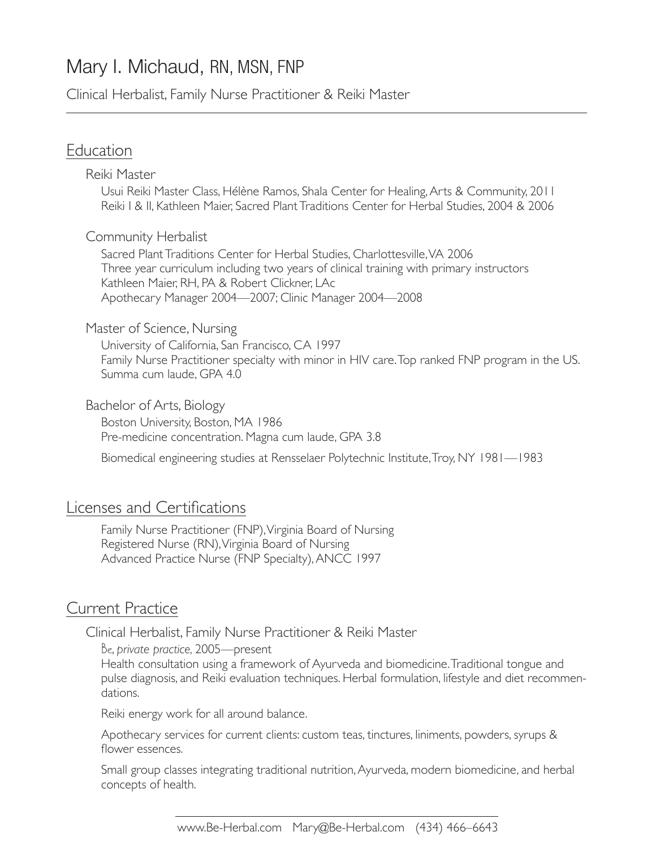# Mary I. Michaud, RN, MSN, FNP

Clinical Herbalist, Family Nurse Practitioner & Reiki Master

### Education

Reiki Master

Usui Reiki Master Class, Hélène Ramos, Shala Center for Healing, Arts & Community, 2011 Reiki I & II, Kathleen Maier, Sacred Plant Traditions Center for Herbal Studies, 2004 & 2006

#### Community Herbalist

Sacred Plant Traditions Center for Herbal Studies, Charlottesville, VA 2006 Three year curriculum including two years of clinical training with primary instructors Kathleen Maier, RH, PA & Robert Clickner, LAc Apothecary Manager 2004—2007; Clinic Manager 2004—2008

#### Master of Science, Nursing

University of California, San Francisco, CA 1997 Family Nurse Practitioner specialty with minor in HIV care. Top ranked FNP program in the US. Summa cum laude, GPA 4.0

Bachelor of Arts, Biology

Boston University, Boston, MA 1986 Pre-medicine concentration. Magna cum laude, GPA 3.8

Biomedical engineering studies at Rensselaer Polytechnic Institute, Troy, NY 1981—1983

### Licenses and Certifications

Family Nurse Practitioner (FNP), Virginia Board of Nursing Registered Nurse (RN), Virginia Board of Nursing Advanced Practice Nurse (FNP Specialty), ANCC 1997

#### Current Practice

Clinical Herbalist, Family Nurse Practitioner & Reiki Master

Be, *private practice,* 2005—present

Health consultation using a framework of Ayurveda and biomedicine. Traditional tongue and pulse diagnosis, and Reiki evaluation techniques. Herbal formulation, lifestyle and diet recommendations.

Reiki energy work for all around balance.

Apothecary services for current clients: custom teas, tinctures, liniments, powders, syrups & flower essences.

Small group classes integrating traditional nutrition, Ayurveda, modern biomedicine, and herbal concepts of health.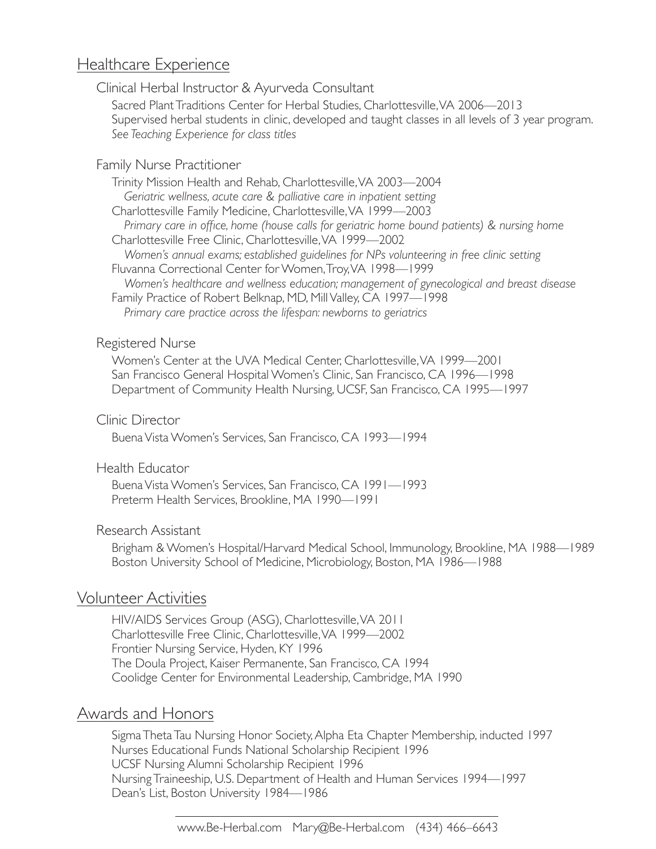## Healthcare Experience

Clinical Herbal Instructor & Ayurveda Consultant

Sacred Plant Traditions Center for Herbal Studies, Charlottesville, VA 2006—2013 Supervised herbal students in clinic, developed and taught classes in all levels of 3 year program. *See Teaching Experience for class titles*

#### Family Nurse Practitioner

Trinity Mission Health and Rehab, Charlottesville, VA 2003—2004 *Geriatric wellness, acute care & palliative care in inpatient setting* Charlottesville Family Medicine, Charlottesville, VA 1999—2003 *Primary care in office, home (house calls for geriatric home bound patients) & nursing home* Charlottesville Free Clinic, Charlottesville, VA 1999—2002 *Women's annual exams; established guidelines for NPs volunteering in free clinic setting* Fluvanna Correctional Center for Women, Troy, VA 1998—1999 *Women's healthcare and wellness education; management of gynecological and breast disease* Family Practice of Robert Belknap, MD, Mill Valley, CA 1997—1998 *Primary care practice across the lifespan: newborns to geriatrics*

#### Registered Nurse

Women's Center at the UVA Medical Center, Charlottesville, VA 1999—2001 San Francisco General Hospital Women's Clinic, San Francisco, CA 1996—1998 Department of Community Health Nursing, UCSF, San Francisco, CA 1995—1997

#### Clinic Director

Buena Vista Women's Services, San Francisco, CA 1993—1994

#### Health Educator

Buena Vista Women's Services, San Francisco, CA 1991—1993 Preterm Health Services, Brookline, MA 1990—1991

#### Research Assistant

Brigham & Women's Hospital/Harvard Medical School, Immunology, Brookline, MA 1988—1989 Boston University School of Medicine, Microbiology, Boston, MA 1986—1988

### Volunteer Activities

HIV/AIDS Services Group (ASG), Charlottesville, VA 2011 Charlottesville Free Clinic, Charlottesville, VA 1999—2002 Frontier Nursing Service, Hyden, KY 1996 The Doula Project, Kaiser Permanente, San Francisco, CA 1994 Coolidge Center for Environmental Leadership, Cambridge, MA 1990

## Awards and Honors

Sigma Theta Tau Nursing Honor Society, Alpha Eta Chapter Membership, inducted 1997 Nurses Educational Funds National Scholarship Recipient 1996 UCSF Nursing Alumni Scholarship Recipient 1996 Nursing Traineeship, U.S. Department of Health and Human Services 1994—1997 Dean's List, Boston University 1984—1986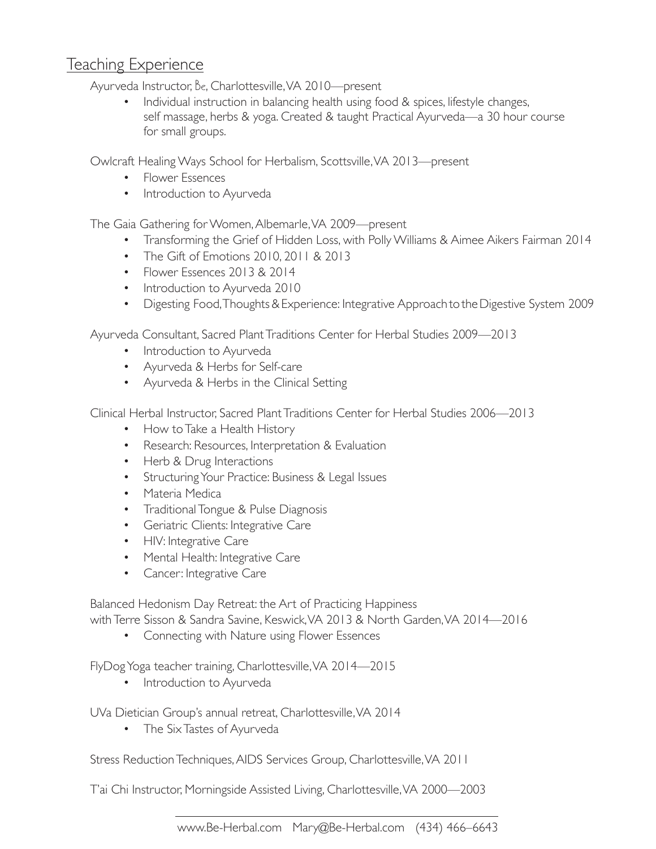## Teaching Experience

Ayurveda Instructor, Be, Charlottesville, VA 2010—present

Individual instruction in balancing health using food & spices, lifestyle changes, self massage, herbs & yoga. Created & taught Practical Ayurveda—a 30 hour course for small groups. •

Owlcraft Healing Ways School for Herbalism, Scottsville, VA 2013—present

- Flower Essences
- Introduction to Ayurveda

The Gaia Gathering for Women, Albemarle, VA 2009—present

- Transforming the Grief of Hidden Loss, with Polly Williams & Aimee Aikers Fairman 2014
- The Gift of Emotions 2010, 2011 & 2013
- Flower Essences 2013 & 2014
- Introduction to Ayurveda 2010
- Digesting Food, Thoughts & Experience: Integrative Approach to the Digestive System 2009

Ayurveda Consultant, Sacred Plant Traditions Center for Herbal Studies 2009—2013

- Introduction to Ayurveda
- Ayurveda & Herbs for Self-care
- Ayurveda & Herbs in the Clinical Setting

Clinical Herbal Instructor, Sacred Plant Traditions Center for Herbal Studies 2006—2013

- How to Take a Health History
- Research: Resources, Interpretation & Evaluation
- Herb & Drug Interactions
- Structuring Your Practice: Business & Legal Issues
- Materia Medica
- Traditional Tongue & Pulse Diagnosis
- Geriatric Clients: Integrative Care
- HIV: Integrative Care
- Mental Health: Integrative Care
- Cancer: Integrative Care

Balanced Hedonism Day Retreat: the Art of Practicing Happiness

with Terre Sisson & Sandra Savine, Keswick, VA 2013 & North Garden, VA 2014—2016

Connecting with Nature using Flower Essences •

FlyDog Yoga teacher training, Charlottesville, VA 2014—2015

• Introduction to Ayurveda

UVa Dietician Group's annual retreat, Charlottesville, VA 2014

• The Six Tastes of Ayurveda

Stress Reduction Techniques, AIDS Services Group, Charlottesville, VA 2011

T'ai Chi Instructor, Morningside Assisted Living, Charlottesville, VA 2000—2003